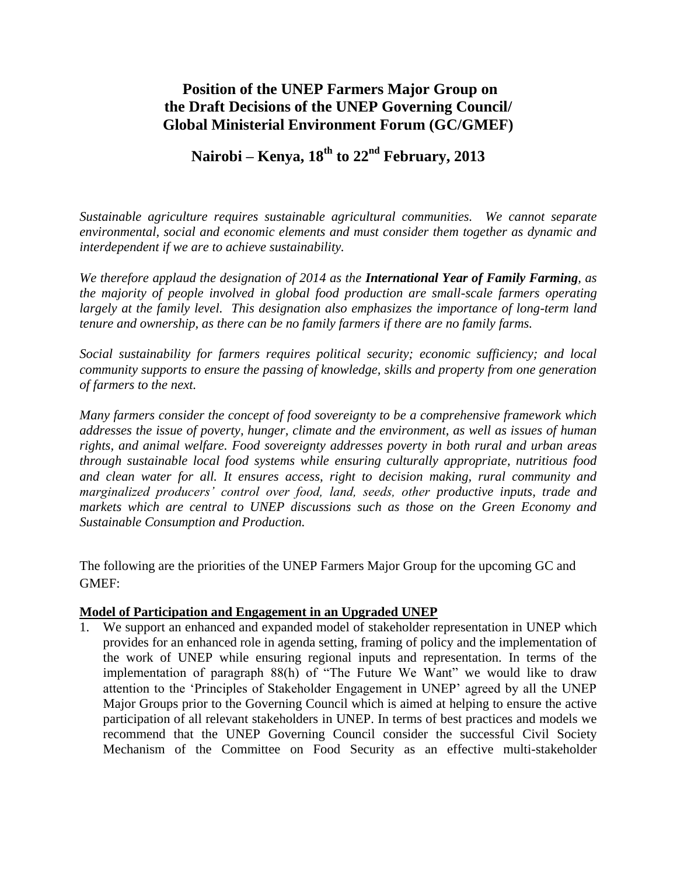# **Position of the UNEP Farmers Major Group on the Draft Decisions of the UNEP Governing Council/ Global Ministerial Environment Forum (GC/GMEF)**

# **Nairobi – Kenya, 18th to 22nd February, 2013**

*Sustainable agriculture requires sustainable agricultural communities. We cannot separate environmental, social and economic elements and must consider them together as dynamic and interdependent if we are to achieve sustainability.*

*We therefore applaud the designation of 2014 as the International Year of Family Farming, as the majority of people involved in global food production are small-scale farmers operating largely at the family level. This designation also emphasizes the importance of long-term land tenure and ownership, as there can be no family farmers if there are no family farms.*

*Social sustainability for farmers requires political security; economic sufficiency; and local community supports to ensure the passing of knowledge, skills and property from one generation of farmers to the next.* 

*Many farmers consider the concept of food sovereignty to be a comprehensive framework which addresses the issue of poverty, hunger, climate and the environment, as well as issues of human rights, and animal welfare. Food sovereignty addresses poverty in both rural and urban areas through sustainable local food systems while ensuring culturally appropriate, nutritious food and clean water for all. It ensures access, right to decision making, rural community and marginalized producers' control over food, land, seeds, other productive inputs, trade and markets which are central to UNEP discussions such as those on the Green Economy and Sustainable Consumption and Production.* 

The following are the priorities of the UNEP Farmers Major Group for the upcoming GC and GMEF:

# **Model of Participation and Engagement in an Upgraded UNEP**

We support an enhanced and expanded model of stakeholder representation in UNEP which provides for an enhanced role in agenda setting, framing of policy and the implementation of the work of UNEP while ensuring regional inputs and representation. In terms of the implementation of paragraph 88(h) of "The Future We Want" we would like to draw attention to the "Principles of Stakeholder Engagement in UNEP" agreed by all the UNEP Major Groups prior to the Governing Council which is aimed at helping to ensure the active participation of all relevant stakeholders in UNEP. In terms of best practices and models we recommend that the UNEP Governing Council consider the successful Civil Society Mechanism of the Committee on Food Security as an effective multi-stakeholder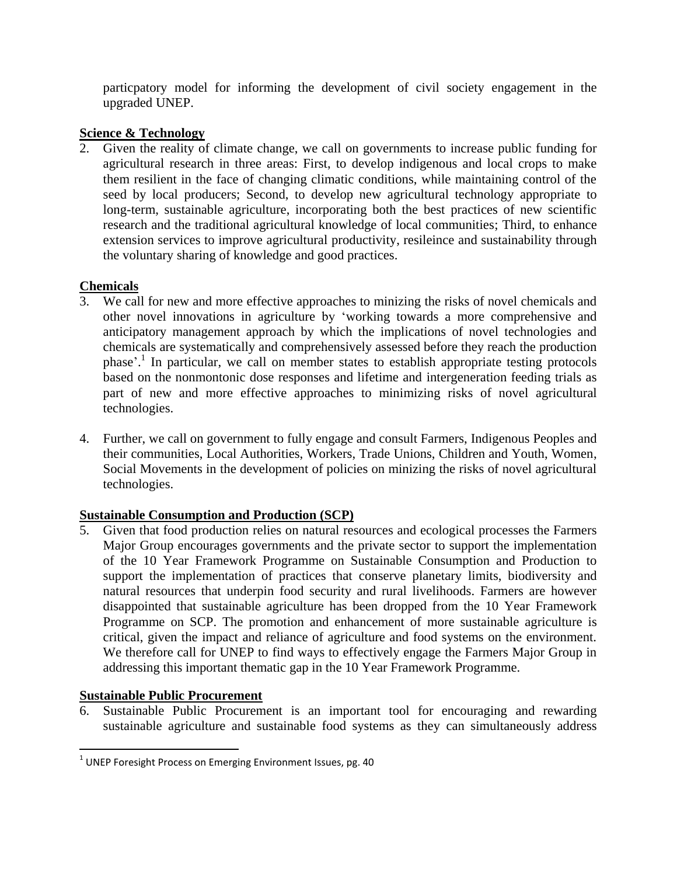particpatory model for informing the development of civil society engagement in the upgraded UNEP.

# **Science & Technology**<br>2. Given the reality of

Given the reality of climate change, we call on governments to increase public funding for agricultural research in three areas: First, to develop indigenous and local crops to make them resilient in the face of changing climatic conditions, while maintaining control of the seed by local producers; Second, to develop new agricultural technology appropriate to long-term, sustainable agriculture, incorporating both the best practices of new scientific research and the traditional agricultural knowledge of local communities; Third, to enhance extension services to improve agricultural productivity, resileince and sustainability through the voluntary sharing of knowledge and good practices.

# **Chemicals**

- 3. We call for new and more effective approaches to minizing the risks of novel chemicals and other novel innovations in agriculture by "working towards a more comprehensive and anticipatory management approach by which the implications of novel technologies and chemicals are systematically and comprehensively assessed before they reach the production phase'.<sup>1</sup> In particular, we call on member states to establish appropriate testing protocols based on the nonmontonic dose responses and lifetime and intergeneration feeding trials as part of new and more effective approaches to minimizing risks of novel agricultural technologies.
- 4. Further, we call on government to fully engage and consult Farmers, Indigenous Peoples and their communities, Local Authorities, Workers, Trade Unions, Children and Youth, Women, Social Movements in the development of policies on minizing the risks of novel agricultural technologies.

# **Sustainable Consumption and Production (SCP)**

5. Given that food production relies on natural resources and ecological processes the Farmers Major Group encourages governments and the private sector to support the implementation of the 10 Year Framework Programme on Sustainable Consumption and Production to support the implementation of practices that conserve planetary limits, biodiversity and natural resources that underpin food security and rural livelihoods. Farmers are however disappointed that sustainable agriculture has been dropped from the 10 Year Framework Programme on SCP. The promotion and enhancement of more sustainable agriculture is critical, given the impact and reliance of agriculture and food systems on the environment. We therefore call for UNEP to find ways to effectively engage the Farmers Major Group in addressing this important thematic gap in the 10 Year Framework Programme.

# **Sustainable Public Procurement**

 $\overline{\phantom{a}}$ 

6. Sustainable Public Procurement is an important tool for encouraging and rewarding sustainable agriculture and sustainable food systems as they can simultaneously address

 $^1$  UNEP Foresight Process on Emerging Environment Issues, pg. 40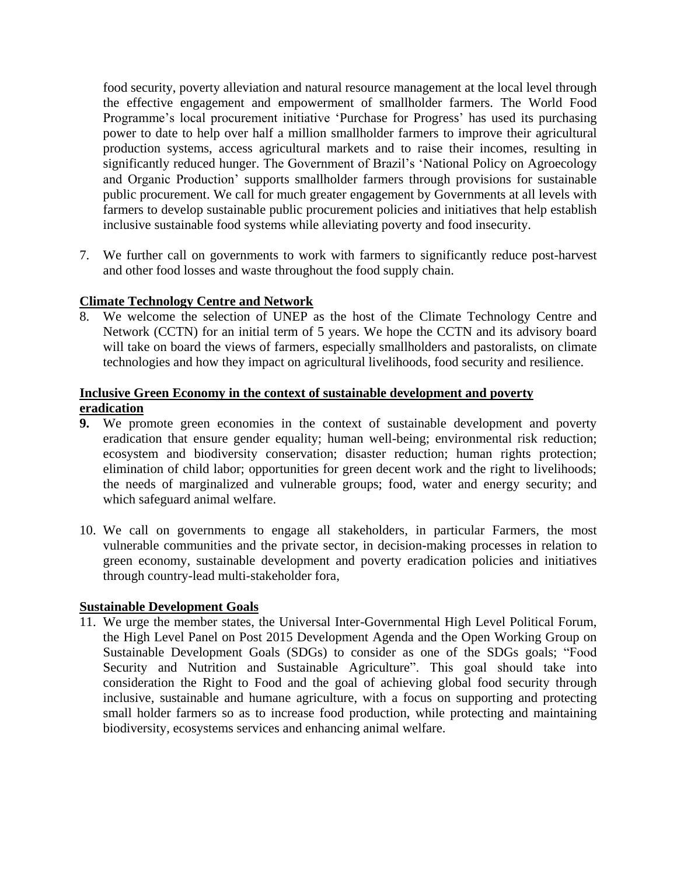food security, poverty alleviation and natural resource management at the local level through the effective engagement and empowerment of smallholder farmers. The World Food Programme's local procurement initiative 'Purchase for Progress' has used its purchasing power to date to help over half a million smallholder farmers to improve their agricultural production systems, access agricultural markets and to raise their incomes, resulting in significantly reduced hunger. The Government of Brazil's 'National Policy on Agroecology and Organic Production" supports smallholder farmers through provisions for sustainable public procurement. We call for much greater engagement by Governments at all levels with farmers to develop sustainable public procurement policies and initiatives that help establish inclusive sustainable food systems while alleviating poverty and food insecurity.

7. We further call on governments to work with farmers to significantly reduce post-harvest and other food losses and waste throughout the food supply chain.

### **Climate Technology Centre and Network**

8. We welcome the selection of UNEP as the host of the Climate Technology Centre and Network (CCTN) for an initial term of 5 years. We hope the CCTN and its advisory board will take on board the views of farmers, especially smallholders and pastoralists, on climate technologies and how they impact on agricultural livelihoods, food security and resilience.

### **Inclusive Green Economy in the context of sustainable development and poverty eradication**

- **9.** We promote green economies in the context of sustainable development and poverty eradication that ensure gender equality; human well-being; environmental risk reduction; ecosystem and biodiversity conservation; disaster reduction; human rights protection; elimination of child labor; opportunities for green decent work and the right to livelihoods; the needs of marginalized and vulnerable groups; food, water and energy security; and which safeguard animal welfare.
- 10. We call on governments to engage all stakeholders, in particular Farmers, the most vulnerable communities and the private sector, in decision-making processes in relation to green economy, sustainable development and poverty eradication policies and initiatives through country-lead multi-stakeholder fora,

#### **Sustainable Development Goals**

11. We urge the member states, the Universal Inter-Governmental High Level Political Forum, the High Level Panel on Post 2015 Development Agenda and the Open Working Group on Sustainable Development Goals (SDGs) to consider as one of the SDGs goals; "Food Security and Nutrition and Sustainable Agriculture". This goal should take into consideration the Right to Food and the goal of achieving global food security through inclusive, sustainable and humane agriculture, with a focus on supporting and protecting small holder farmers so as to increase food production, while protecting and maintaining biodiversity, ecosystems services and enhancing animal welfare.